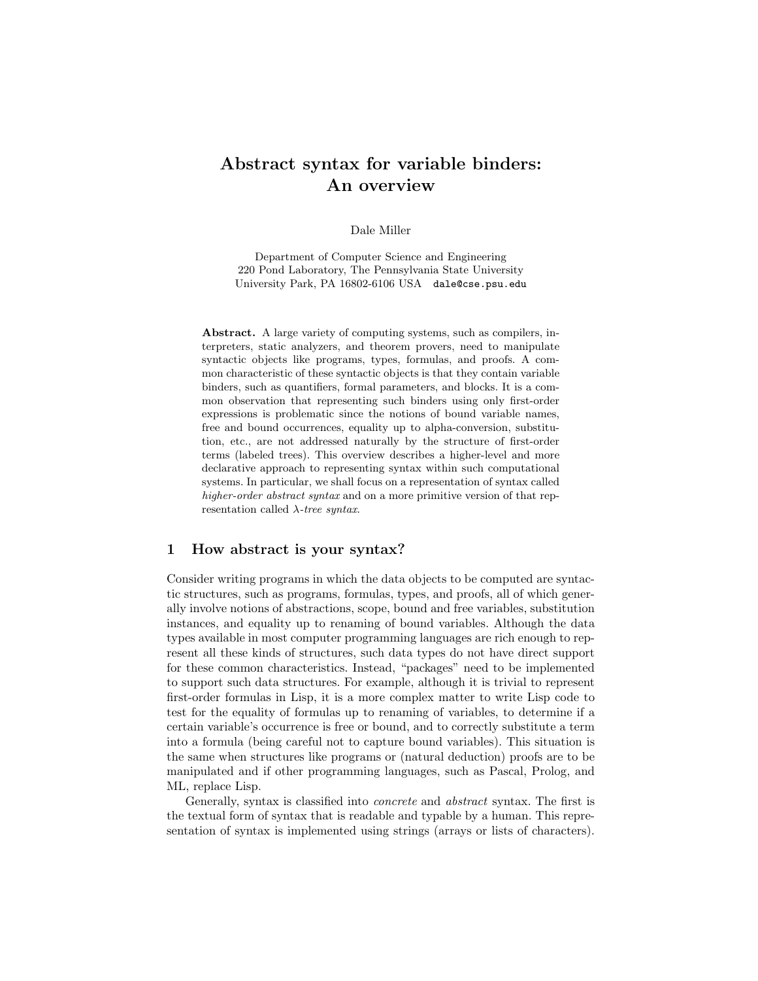# Abstract syntax for variable binders: An overview

Dale Miller

Department of Computer Science and Engineering 220 Pond Laboratory, The Pennsylvania State University University Park, PA 16802-6106 USA dale@cse.psu.edu

Abstract. A large variety of computing systems, such as compilers, interpreters, static analyzers, and theorem provers, need to manipulate syntactic objects like programs, types, formulas, and proofs. A common characteristic of these syntactic objects is that they contain variable binders, such as quantifiers, formal parameters, and blocks. It is a common observation that representing such binders using only first-order expressions is problematic since the notions of bound variable names, free and bound occurrences, equality up to alpha-conversion, substitution, etc., are not addressed naturally by the structure of first-order terms (labeled trees). This overview describes a higher-level and more declarative approach to representing syntax within such computational systems. In particular, we shall focus on a representation of syntax called higher-order abstract syntax and on a more primitive version of that representation called  $\lambda$ -tree syntax.

# 1 How abstract is your syntax?

Consider writing programs in which the data objects to be computed are syntactic structures, such as programs, formulas, types, and proofs, all of which generally involve notions of abstractions, scope, bound and free variables, substitution instances, and equality up to renaming of bound variables. Although the data types available in most computer programming languages are rich enough to represent all these kinds of structures, such data types do not have direct support for these common characteristics. Instead, "packages" need to be implemented to support such data structures. For example, although it is trivial to represent first-order formulas in Lisp, it is a more complex matter to write Lisp code to test for the equality of formulas up to renaming of variables, to determine if a certain variable's occurrence is free or bound, and to correctly substitute a term into a formula (being careful not to capture bound variables). This situation is the same when structures like programs or (natural deduction) proofs are to be manipulated and if other programming languages, such as Pascal, Prolog, and ML, replace Lisp.

Generally, syntax is classified into concrete and abstract syntax. The first is the textual form of syntax that is readable and typable by a human. This representation of syntax is implemented using strings (arrays or lists of characters).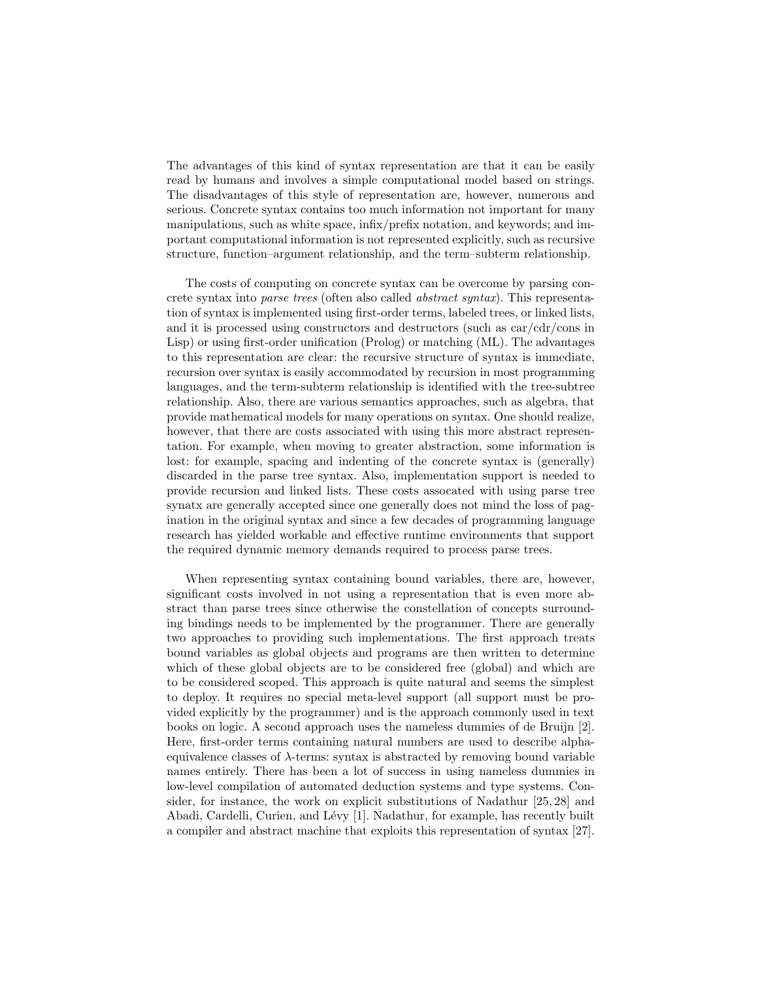The advantages of this kind of syntax representation are that it can be easily read by humans and involves a simple computational model based on strings. The disadvantages of this style of representation are, however, numerous and serious. Concrete syntax contains too much information not important for many manipulations, such as white space, infix/prefix notation, and keywords; and important computational information is not represented explicitly, such as recursive structure, function–argument relationship, and the term–subterm relationship.

The costs of computing on concrete syntax can be overcome by parsing concrete syntax into parse trees (often also called abstract syntax). This representation of syntax is implemented using first-order terms, labeled trees, or linked lists, and it is processed using constructors and destructors (such as car/cdr/cons in Lisp) or using first-order unification (Prolog) or matching (ML). The advantages to this representation are clear: the recursive structure of syntax is immediate, recursion over syntax is easily accommodated by recursion in most programming languages, and the term-subterm relationship is identified with the tree-subtree relationship. Also, there are various semantics approaches, such as algebra, that provide mathematical models for many operations on syntax. One should realize, however, that there are costs associated with using this more abstract representation. For example, when moving to greater abstraction, some information is lost: for example, spacing and indenting of the concrete syntax is (generally) discarded in the parse tree syntax. Also, implementation support is needed to provide recursion and linked lists. These costs assocated with using parse tree synatx are generally accepted since one generally does not mind the loss of pagination in the original syntax and since a few decades of programming language research has yielded workable and effective runtime environments that support the required dynamic memory demands required to process parse trees.

When representing syntax containing bound variables, there are, however, significant costs involved in not using a representation that is even more abstract than parse trees since otherwise the constellation of concepts surrounding bindings needs to be implemented by the programmer. There are generally two approaches to providing such implementations. The first approach treats bound variables as global objects and programs are then written to determine which of these global objects are to be considered free (global) and which are to be considered scoped. This approach is quite natural and seems the simplest to deploy. It requires no special meta-level support (all support must be provided explicitly by the programmer) and is the approach commonly used in text books on logic. A second approach uses the nameless dummies of de Bruijn [2]. Here, first-order terms containing natural numbers are used to describe alphaequivalence classes of  $\lambda$ -terms: syntax is abstracted by removing bound variable names entirely. There has been a lot of success in using nameless dummies in low-level compilation of automated deduction systems and type systems. Consider, for instance, the work on explicit substitutions of Nadathur [25, 28] and Abadi, Cardelli, Curien, and Lévy [1]. Nadathur, for example, has recently built a compiler and abstract machine that exploits this representation of syntax [27].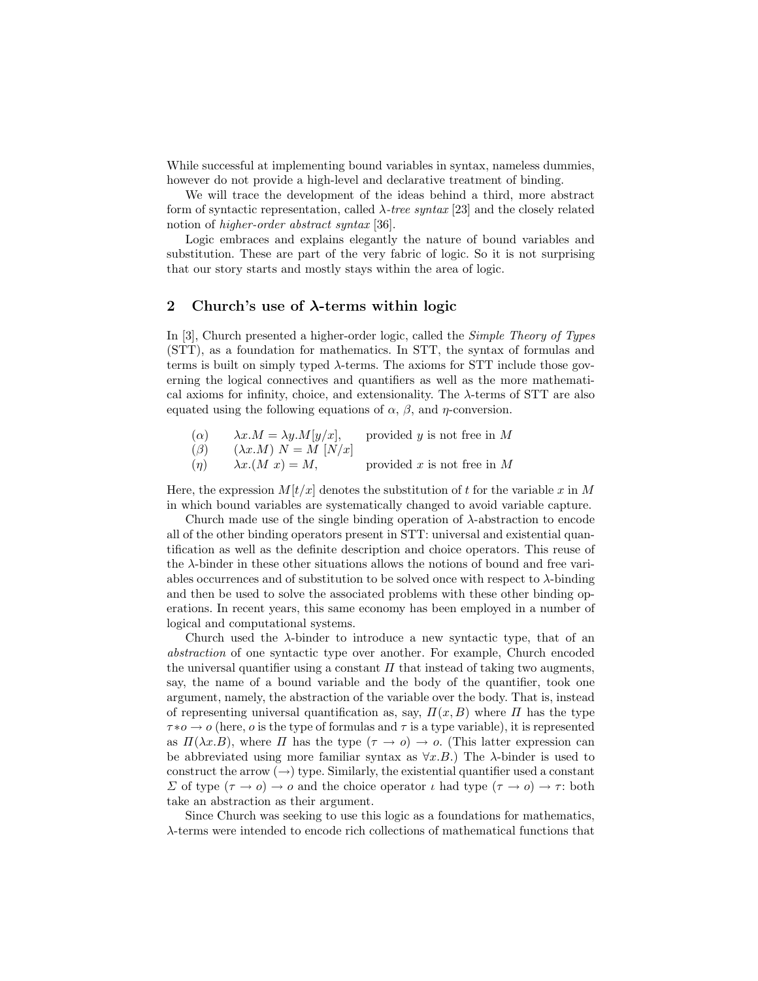While successful at implementing bound variables in syntax, nameless dummies, however do not provide a high-level and declarative treatment of binding.

We will trace the development of the ideas behind a third, more abstract form of syntactic representation, called  $\lambda$ -tree syntax [23] and the closely related notion of *higher-order abstract syntax* [36].

Logic embraces and explains elegantly the nature of bound variables and substitution. These are part of the very fabric of logic. So it is not surprising that our story starts and mostly stays within the area of logic.

#### 2 Church's use of  $\lambda$ -terms within logic

In [3], Church presented a higher-order logic, called the Simple Theory of Types (STT), as a foundation for mathematics. In STT, the syntax of formulas and terms is built on simply typed  $\lambda$ -terms. The axioms for STT include those governing the logical connectives and quantifiers as well as the more mathematical axioms for infinity, choice, and extensionality. The  $\lambda$ -terms of STT are also equated using the following equations of  $\alpha$ ,  $\beta$ , and  $\eta$ -conversion.

- $\Lambda(x)$   $\lambda x.M = \lambda y.M[y/x],$  provided y is not free in M
- ( $\beta$ ) ( $\lambda x.M$ )  $N = M$  [ $N/x$ ]
- (*η*)  $\lambda x.(M \ x) = M$ , provided x is not free in M

Here, the expression  $M[t/x]$  denotes the substitution of t for the variable x in M in which bound variables are systematically changed to avoid variable capture.

Church made use of the single binding operation of  $\lambda$ -abstraction to encode all of the other binding operators present in STT: universal and existential quantification as well as the definite description and choice operators. This reuse of the  $\lambda$ -binder in these other situations allows the notions of bound and free variables occurrences and of substitution to be solved once with respect to  $\lambda$ -binding and then be used to solve the associated problems with these other binding operations. In recent years, this same economy has been employed in a number of logical and computational systems.

Church used the  $\lambda$ -binder to introduce a new syntactic type, that of an abstraction of one syntactic type over another. For example, Church encoded the universal quantifier using a constant  $\Pi$  that instead of taking two augments, say, the name of a bound variable and the body of the quantifier, took one argument, namely, the abstraction of the variable over the body. That is, instead of representing universal quantification as, say,  $\Pi(x, B)$  where  $\Pi$  has the type  $\tau * o \to o$  (here, o is the type of formulas and  $\tau$  is a type variable), it is represented as  $\Pi(\lambda x.B)$ , where  $\Pi$  has the type  $(\tau \to o) \to o$ . (This latter expression can be abbreviated using more familiar syntax as  $\forall x.B.$ ) The  $\lambda$ -binder is used to construct the arrow  $(\rightarrow)$  type. Similarly, the existential quantifier used a constant  $Σ$  of type  $(τ → ο) → ο$  and the choice operator *ι* had type  $(τ → ο) → τ$ : both take an abstraction as their argument.

Since Church was seeking to use this logic as a foundations for mathematics, λ-terms were intended to encode rich collections of mathematical functions that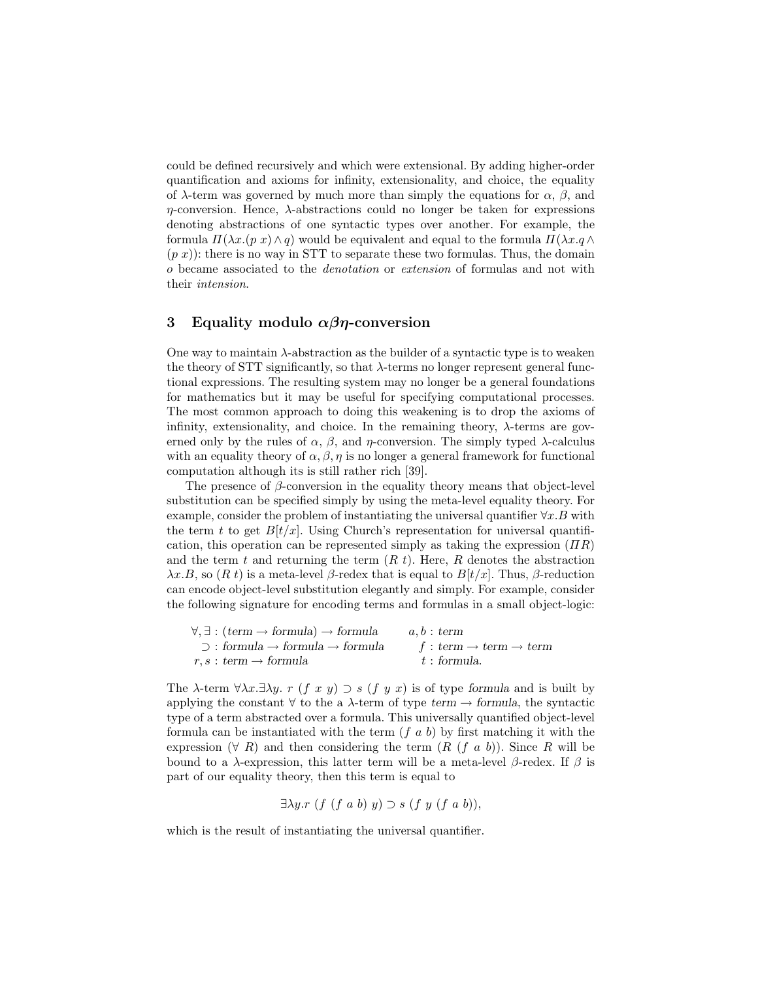could be defined recursively and which were extensional. By adding higher-order quantification and axioms for infinity, extensionality, and choice, the equality of  $\lambda$ -term was governed by much more than simply the equations for  $\alpha$ ,  $\beta$ , and  $\eta$ -conversion. Hence,  $\lambda$ -abstractions could no longer be taken for expressions denoting abstractions of one syntactic types over another. For example, the formula  $\Pi(\lambda x.(p\ x) \wedge q)$  would be equivalent and equal to the formula  $\Pi(\lambda x. q \wedge q)$  $(p x)$ : there is no way in STT to separate these two formulas. Thus, the domain o became associated to the denotation or extension of formulas and not with their intension.

# 3 Equality modulo  $\alpha\beta\eta$ -conversion

One way to maintain  $\lambda$ -abstraction as the builder of a syntactic type is to weaken the theory of STT significantly, so that  $\lambda$ -terms no longer represent general functional expressions. The resulting system may no longer be a general foundations for mathematics but it may be useful for specifying computational processes. The most common approach to doing this weakening is to drop the axioms of infinity, extensionality, and choice. In the remaining theory,  $\lambda$ -terms are governed only by the rules of  $\alpha$ ,  $\beta$ , and  $\eta$ -conversion. The simply typed  $\lambda$ -calculus with an equality theory of  $\alpha$ ,  $\beta$ ,  $\eta$  is no longer a general framework for functional computation although its is still rather rich [39].

The presence of  $\beta$ -conversion in the equality theory means that object-level substitution can be specified simply by using the meta-level equality theory. For example, consider the problem of instantiating the universal quantifier  $\forall x.B$  with the term t to get  $B[t/x]$ . Using Church's representation for universal quantification, this operation can be represented simply as taking the expression  $(IR)$ and the term t and returning the term  $(R t)$ . Here, R denotes the abstraction  $\lambda x.B$ , so  $(R t)$  is a meta-level  $\beta$ -redex that is equal to  $B[t/x]$ . Thus,  $\beta$ -reduction can encode object-level substitution elegantly and simply. For example, consider the following signature for encoding terms and formulas in a small object-logic:

| $\forall, \exists : (term \rightarrow formula) \rightarrow formula$ | a, b: term                                                       |
|---------------------------------------------------------------------|------------------------------------------------------------------|
| $\supset$ : formula $\rightarrow$ formula $\rightarrow$ formula     | $f: \text{term} \rightarrow \text{term} \rightarrow \text{term}$ |
| $r, s : term \rightarrow formula$                                   | t: formula.                                                      |

The  $\lambda$ -term  $\forall \lambda x. \exists \lambda y. r (f x y) \supset s (f y x)$  is of type formula and is built by applying the constant  $\forall$  to the a  $\lambda$ -term of type term  $\rightarrow$  formula, the syntactic type of a term abstracted over a formula. This universally quantified object-level formula can be instantiated with the term  $(f a b)$  by first matching it with the expression  $(\forall R)$  and then considering the term  $(R (f a b))$ . Since R will be bound to a  $\lambda$ -expression, this latter term will be a meta-level β-redex. If β is part of our equality theory, then this term is equal to

$$
\exists \lambda y.r \ (f \ (f \ a \ b) \ y) \supset s \ (f \ y \ (f \ a \ b)),
$$

which is the result of instantiating the universal quantifier.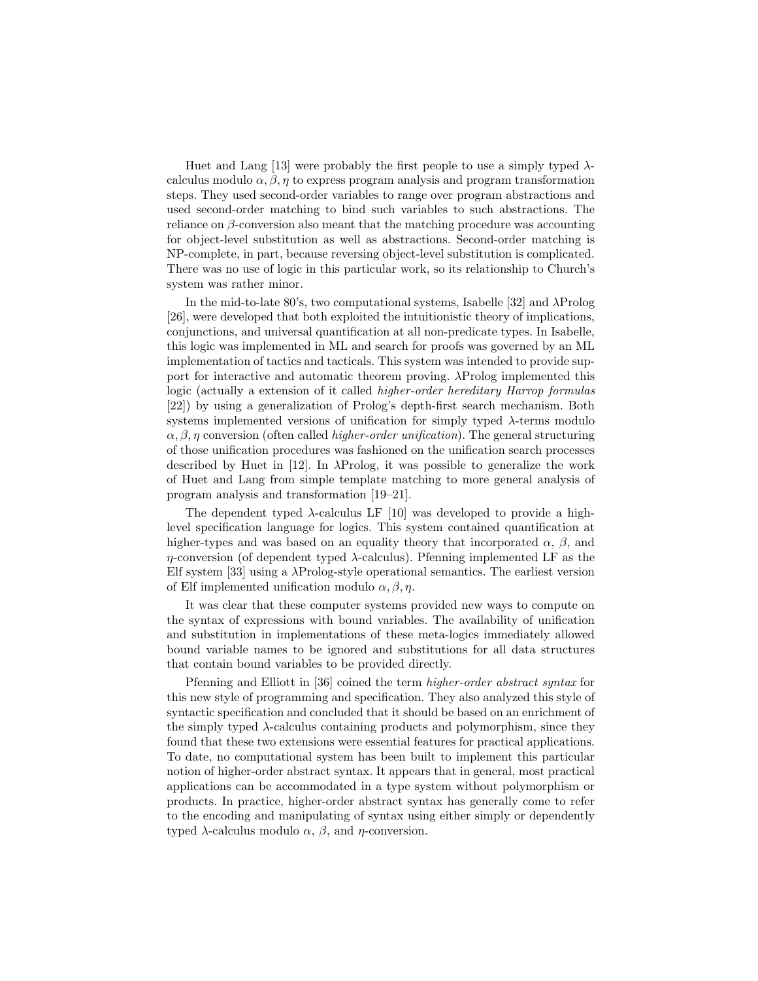Huet and Lang [13] were probably the first people to use a simply typed  $\lambda$ calculus modulo  $\alpha$ ,  $\beta$ ,  $\eta$  to express program analysis and program transformation steps. They used second-order variables to range over program abstractions and used second-order matching to bind such variables to such abstractions. The reliance on  $\beta$ -conversion also meant that the matching procedure was accounting for object-level substitution as well as abstractions. Second-order matching is NP-complete, in part, because reversing object-level substitution is complicated. There was no use of logic in this particular work, so its relationship to Church's system was rather minor.

In the mid-to-late 80's, two computational systems, Isabelle [32] and λProlog [26], were developed that both exploited the intuitionistic theory of implications, conjunctions, and universal quantification at all non-predicate types. In Isabelle, this logic was implemented in ML and search for proofs was governed by an ML implementation of tactics and tacticals. This system was intended to provide support for interactive and automatic theorem proving. λProlog implemented this logic (actually a extension of it called higher-order hereditary Harrop formulas [22]) by using a generalization of Prolog's depth-first search mechanism. Both systems implemented versions of unification for simply typed  $\lambda$ -terms modulo  $\alpha, \beta, \eta$  conversion (often called *higher-order unification*). The general structuring of those unification procedures was fashioned on the unification search processes described by Huet in  $[12]$ . In  $\lambda$ Prolog, it was possible to generalize the work of Huet and Lang from simple template matching to more general analysis of program analysis and transformation [19–21].

The dependent typed  $\lambda$ -calculus LF [10] was developed to provide a highlevel specification language for logics. This system contained quantification at higher-types and was based on an equality theory that incorporated  $\alpha$ ,  $\beta$ , and  $\eta$ -conversion (of dependent typed  $\lambda$ -calculus). Pfenning implemented LF as the Elf system [33] using a  $\lambda$ Prolog-style operational semantics. The earliest version of Elf implemented unification modulo  $\alpha$ ,  $\beta$ ,  $\eta$ .

It was clear that these computer systems provided new ways to compute on the syntax of expressions with bound variables. The availability of unification and substitution in implementations of these meta-logics immediately allowed bound variable names to be ignored and substitutions for all data structures that contain bound variables to be provided directly.

Pfenning and Elliott in [36] coined the term higher-order abstract syntax for this new style of programming and specification. They also analyzed this style of syntactic specification and concluded that it should be based on an enrichment of the simply typed  $\lambda$ -calculus containing products and polymorphism, since they found that these two extensions were essential features for practical applications. To date, no computational system has been built to implement this particular notion of higher-order abstract syntax. It appears that in general, most practical applications can be accommodated in a type system without polymorphism or products. In practice, higher-order abstract syntax has generally come to refer to the encoding and manipulating of syntax using either simply or dependently typed  $\lambda$ -calculus modulo  $\alpha$ ,  $\beta$ , and  $\eta$ -conversion.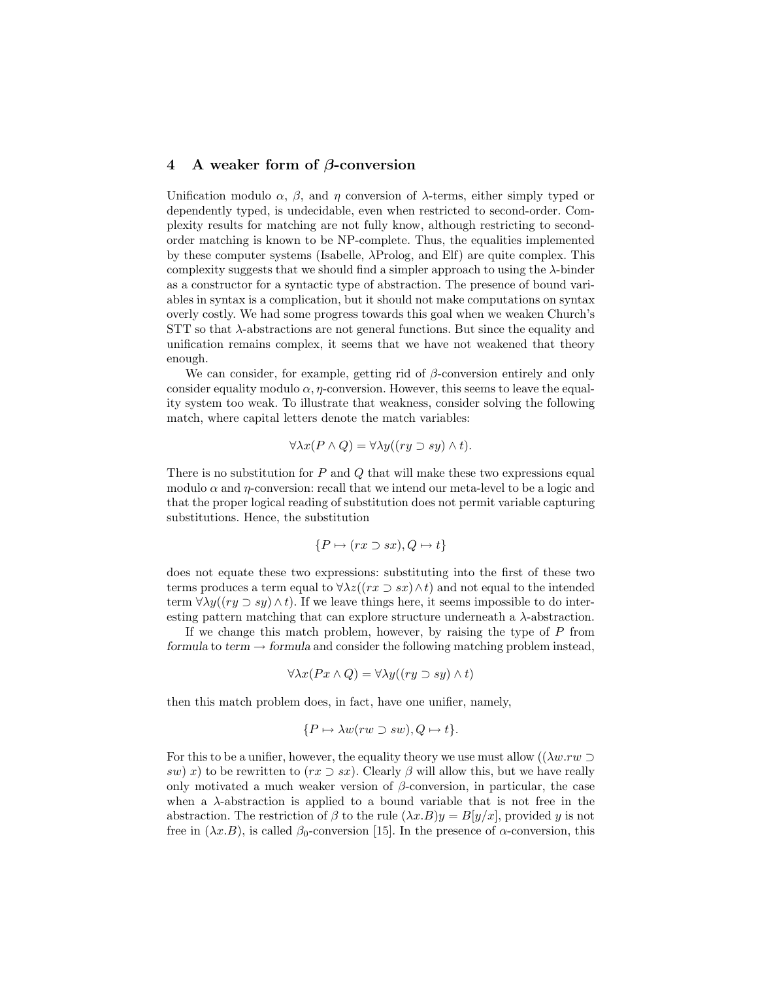# 4 A weaker form of β-conversion

Unification modulo  $\alpha$ ,  $\beta$ , and  $\eta$  conversion of  $\lambda$ -terms, either simply typed or dependently typed, is undecidable, even when restricted to second-order. Complexity results for matching are not fully know, although restricting to secondorder matching is known to be NP-complete. Thus, the equalities implemented by these computer systems (Isabelle,  $\lambda$ Prolog, and Elf) are quite complex. This complexity suggests that we should find a simpler approach to using the  $\lambda$ -binder as a constructor for a syntactic type of abstraction. The presence of bound variables in syntax is a complication, but it should not make computations on syntax overly costly. We had some progress towards this goal when we weaken Church's  $STT$  so that  $\lambda$ -abstractions are not general functions. But since the equality and unification remains complex, it seems that we have not weakened that theory enough.

We can consider, for example, getting rid of  $\beta$ -conversion entirely and only consider equality modulo  $\alpha$ ,  $\eta$ -conversion. However, this seems to leave the equality system too weak. To illustrate that weakness, consider solving the following match, where capital letters denote the match variables:

$$
\forall \lambda x (P \land Q) = \forall \lambda y ((ry \supset sy) \land t).
$$

There is no substitution for  $P$  and  $Q$  that will make these two expressions equal modulo  $\alpha$  and  $\eta$ -conversion: recall that we intend our meta-level to be a logic and that the proper logical reading of substitution does not permit variable capturing substitutions. Hence, the substitution

$$
\{P \mapsto (rx \supset sx), Q \mapsto t\}
$$

does not equate these two expressions: substituting into the first of these two terms produces a term equal to  $\forall \lambda z((rx \supset sx) \wedge t)$  and not equal to the intended term  $\forall \lambda y((ry \supset sy) \wedge t)$ . If we leave things here, it seems impossible to do interesting pattern matching that can explore structure underneath a  $\lambda$ -abstraction.

If we change this match problem, however, by raising the type of  $P$  from formula to term  $\rightarrow$  formula and consider the following matching problem instead,

$$
\forall \lambda x (Px \land Q) = \forall \lambda y ((ry \supset sy) \land t)
$$

then this match problem does, in fact, have one unifier, namely,

$$
\{P \mapsto \lambda w(rw \supset sw), Q \mapsto t\}.
$$

For this to be a unifier, however, the equality theory we use must allow  $((\lambda w.rw \supset$ sw) x) to be rewritten to  $(rx \supset sx)$ . Clearly  $\beta$  will allow this, but we have really only motivated a much weaker version of  $\beta$ -conversion, in particular, the case when a  $\lambda$ -abstraction is applied to a bound variable that is not free in the abstraction. The restriction of  $\beta$  to the rule  $(\lambda x.B)y = B[y/x]$ , provided y is not free in  $(\lambda x.B)$ , is called  $\beta_0$ -conversion [15]. In the presence of  $\alpha$ -conversion, this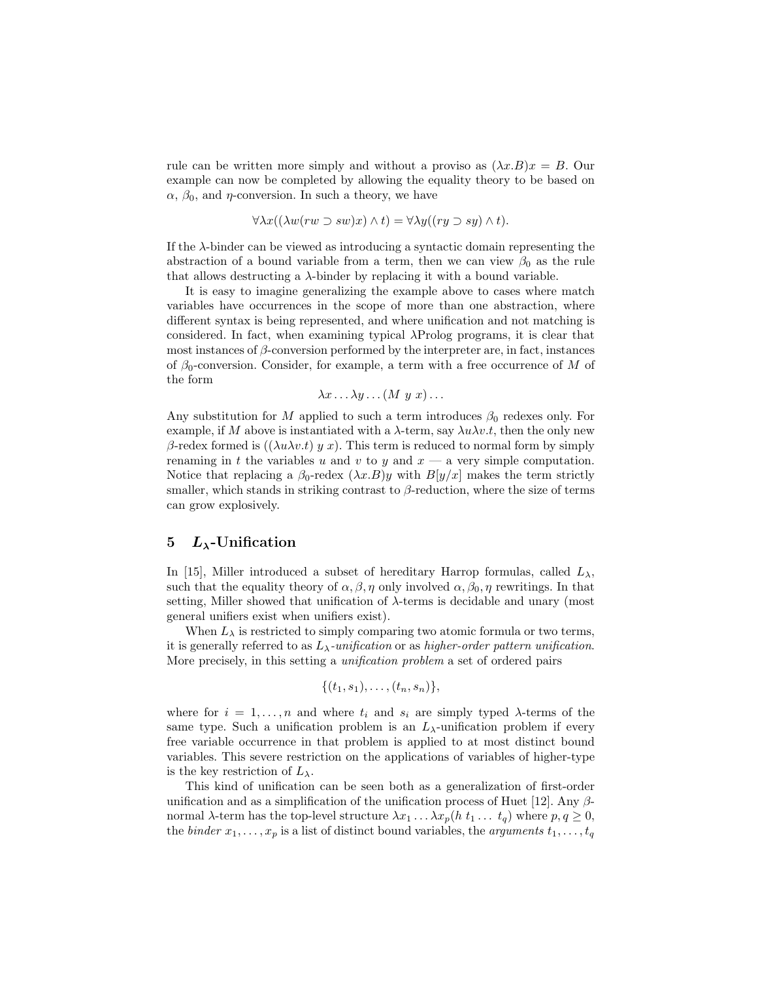rule can be written more simply and without a proviso as  $(\lambda x.B)x = B$ . Our example can now be completed by allowing the equality theory to be based on  $\alpha$ ,  $\beta_0$ , and  $\eta$ -conversion. In such a theory, we have

$$
\forall \lambda x ((\lambda w(rw \supset sw)x) \wedge t) = \forall \lambda y ((ry \supset sy) \wedge t).
$$

If the  $\lambda$ -binder can be viewed as introducing a syntactic domain representing the abstraction of a bound variable from a term, then we can view  $\beta_0$  as the rule that allows destructing a  $\lambda$ -binder by replacing it with a bound variable.

It is easy to imagine generalizing the example above to cases where match variables have occurrences in the scope of more than one abstraction, where different syntax is being represented, and where unification and not matching is considered. In fact, when examining typical λProlog programs, it is clear that most instances of  $\beta$ -conversion performed by the interpreter are, in fact, instances of  $\beta_0$ -conversion. Consider, for example, a term with a free occurrence of M of the form

$$
\lambda x \ldots \lambda y \ldots (M y x) \ldots
$$

Any substitution for M applied to such a term introduces  $\beta_0$  redexes only. For example, if M above is instantiated with a  $\lambda$ -term, say  $\lambda u \lambda v.t$ , then the only new β-redex formed is  $(λuλv.t) y x$ . This term is reduced to normal form by simply renaming in t the variables u and v to y and  $x \rightarrow a$  very simple computation. Notice that replacing a  $\beta_0$ -redex  $(\lambda x.B)y$  with  $B[y/x]$  makes the term strictly smaller, which stands in striking contrast to  $\beta$ -reduction, where the size of terms can grow explosively.

# 5  $L_{\lambda}$ -Unification

In [15], Miller introduced a subset of hereditary Harrop formulas, called  $L_{\lambda}$ , such that the equality theory of  $\alpha, \beta, \eta$  only involved  $\alpha, \beta_0, \eta$  rewritings. In that setting, Miller showed that unification of  $\lambda$ -terms is decidable and unary (most general unifiers exist when unifiers exist).

When  $L_{\lambda}$  is restricted to simply comparing two atomic formula or two terms, it is generally referred to as  $L_{\lambda}$ -unification or as higher-order pattern unification. More precisely, in this setting a unification problem a set of ordered pairs

$$
\{(t_1, s_1), \ldots, (t_n, s_n)\},\
$$

where for  $i = 1, ..., n$  and where  $t_i$  and  $s_i$  are simply typed  $\lambda$ -terms of the same type. Such a unification problem is an  $L_{\lambda}$ -unification problem if every free variable occurrence in that problem is applied to at most distinct bound variables. This severe restriction on the applications of variables of higher-type is the key restriction of  $L_{\lambda}$ .

This kind of unification can be seen both as a generalization of first-order unification and as a simplification of the unification process of Huet [12]. Any  $\beta$ normal  $\lambda$ -term has the top-level structure  $\lambda x_1 \ldots \lambda x_p(h t_1 \ldots t_q)$  where  $p, q \ge 0$ , the *binder*  $x_1, \ldots, x_p$  is a list of distinct bound variables, the *arguments*  $t_1, \ldots, t_q$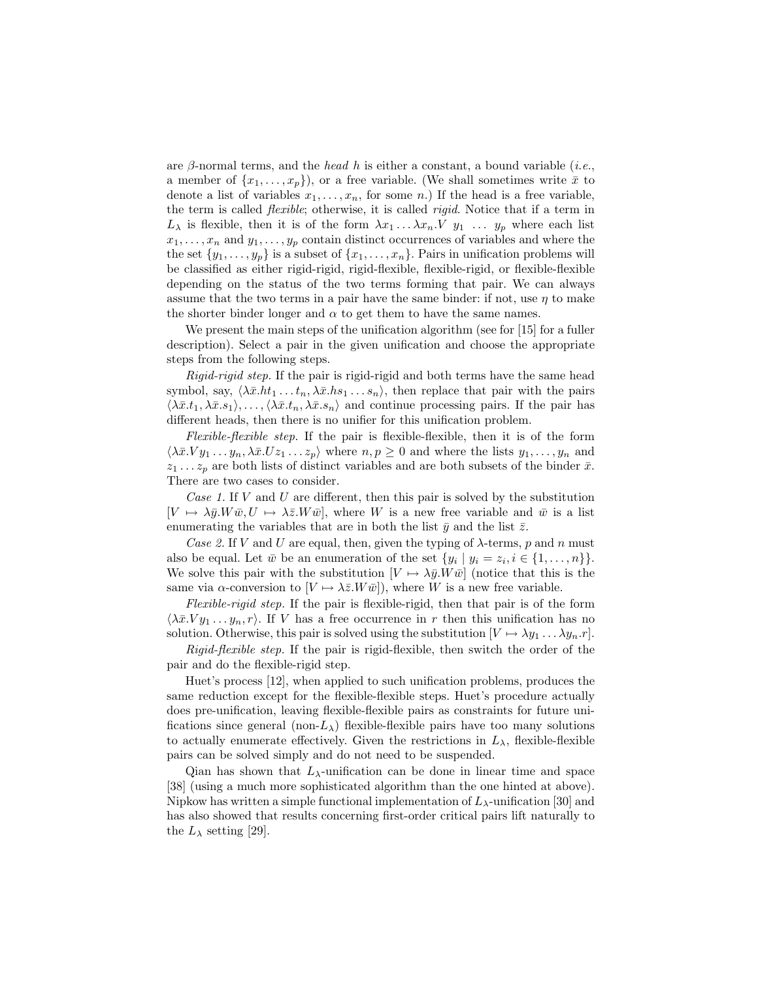are β-normal terms, and the head h is either a constant, a bound variable (*i.e.*, a member of  $\{x_1, \ldots, x_p\}$ , or a free variable. (We shall sometimes write  $\bar{x}$  to denote a list of variables  $x_1, \ldots, x_n$ , for some n.) If the head is a free variable, the term is called flexible; otherwise, it is called rigid. Notice that if a term in  $L_{\lambda}$  is flexible, then it is of the form  $\lambda x_1 \ldots \lambda x_n V y_1 \ldots y_p$  where each list  $x_1, \ldots, x_n$  and  $y_1, \ldots, y_p$  contain distinct occurrences of variables and where the the set  $\{y_1, \ldots, y_p\}$  is a subset of  $\{x_1, \ldots, x_n\}$ . Pairs in unification problems will be classified as either rigid-rigid, rigid-flexible, flexible-rigid, or flexible-flexible depending on the status of the two terms forming that pair. We can always assume that the two terms in a pair have the same binder: if not, use  $\eta$  to make the shorter binder longer and  $\alpha$  to get them to have the same names.

We present the main steps of the unification algorithm (see for [15] for a fuller description). Select a pair in the given unification and choose the appropriate steps from the following steps.

Rigid-rigid step. If the pair is rigid-rigid and both terms have the same head symbol, say,  $\langle \lambda \bar{x}.ht_1 \ldots t_n, \lambda \bar{x}.hs_1 \ldots s_n \rangle$ , then replace that pair with the pairs  $\langle \lambda \bar{x}.t_1, \lambda \bar{x}.s_1 \rangle, \ldots, \langle \lambda \bar{x}.t_n, \lambda \bar{x}.s_n \rangle$  and continue processing pairs. If the pair has different heads, then there is no unifier for this unification problem.

Flexible-flexible step. If the pair is flexible-flexible, then it is of the form  $\langle \lambda \bar{x}.V y_1 \ldots y_n, \lambda \bar{x}.U z_1 \ldots z_p \rangle$  where  $n, p \geq 0$  and where the lists  $y_1, \ldots, y_n$  and  $z_1 \ldots z_p$  are both lists of distinct variables and are both subsets of the binder  $\bar{x}$ . There are two cases to consider.

Case 1. If  $V$  and  $U$  are different, then this pair is solved by the substitution  $[V \mapsto \lambda \bar{y}.W\bar{w}, U \mapsto \lambda \bar{z}.W\bar{w}]$ , where W is a new free variable and  $\bar{w}$  is a list enumerating the variables that are in both the list  $\bar{y}$  and the list  $\bar{z}$ .

Case 2. If V and U are equal, then, given the typing of  $\lambda$ -terms, p and n must also be equal. Let  $\bar{w}$  be an enumeration of the set  $\{y_i \mid y_i = z_i, i \in \{1, \ldots, n\}\}.$ We solve this pair with the substitution  $[V \mapsto \lambda \bar{y}.W\bar{w}]$  (notice that this is the same via  $\alpha$ -conversion to  $[V \mapsto \lambda \bar{z}.W\bar{w}]\,$ , where W is a new free variable.

Flexible-rigid step. If the pair is flexible-rigid, then that pair is of the form  $\langle \lambda \bar{x}.V y_1 \ldots y_n, r \rangle$ . If V has a free occurrence in r then this unification has no solution. Otherwise, this pair is solved using the substitution  $[V \mapsto \lambda y_1 \dots \lambda y_n \cdot r]$ .

Rigid-flexible step. If the pair is rigid-flexible, then switch the order of the pair and do the flexible-rigid step.

Huet's process [12], when applied to such unification problems, produces the same reduction except for the flexible-flexible steps. Huet's procedure actually does pre-unification, leaving flexible-flexible pairs as constraints for future unifications since general (non- $L_{\lambda}$ ) flexible-flexible pairs have too many solutions to actually enumerate effectively. Given the restrictions in  $L_{\lambda}$ , flexible-flexible pairs can be solved simply and do not need to be suspended.

Qian has shown that  $L_{\lambda}$ -unification can be done in linear time and space [38] (using a much more sophisticated algorithm than the one hinted at above). Nipkow has written a simple functional implementation of  $L_{\lambda}$ -unification [30] and has also showed that results concerning first-order critical pairs lift naturally to the  $L_{\lambda}$  setting [29].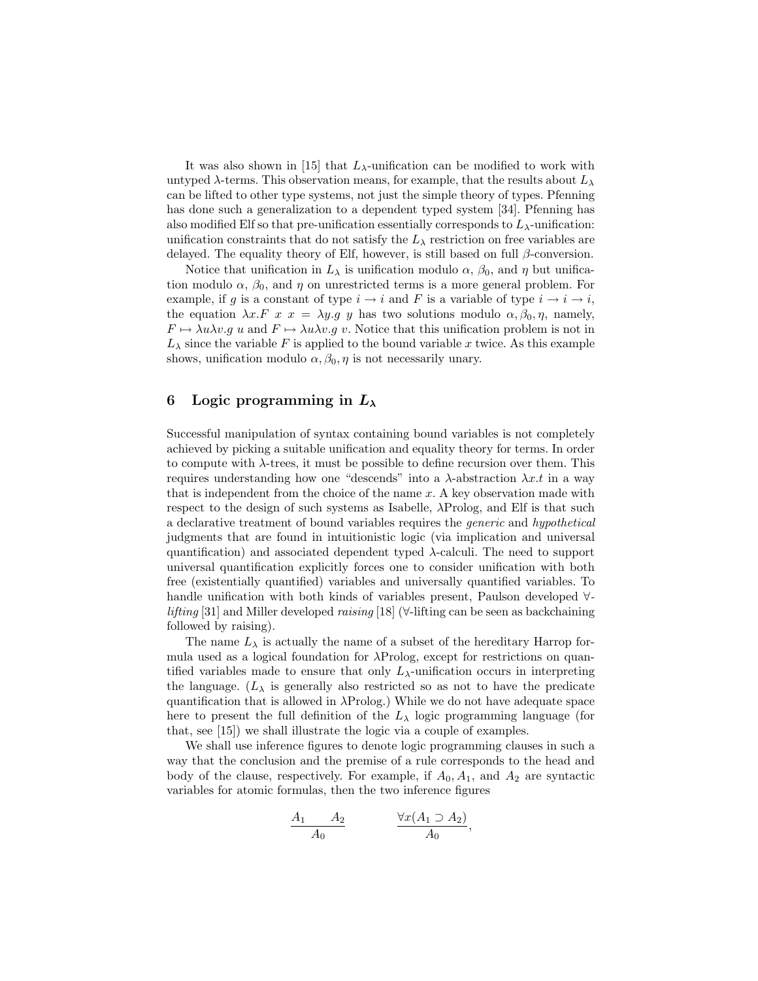It was also shown in [15] that  $L_{\lambda}$ -unification can be modified to work with untyped  $\lambda$ -terms. This observation means, for example, that the results about  $L_{\lambda}$ can be lifted to other type systems, not just the simple theory of types. Pfenning has done such a generalization to a dependent typed system [34]. Pfenning has also modified Elf so that pre-unification essentially corresponds to  $L_{\lambda}$ -unification: unification constraints that do not satisfy the  $L_{\lambda}$  restriction on free variables are delayed. The equality theory of Elf, however, is still based on full  $\beta$ -conversion.

Notice that unification in  $L_{\lambda}$  is unification modulo  $\alpha$ ,  $\beta_0$ , and  $\eta$  but unification modulo  $\alpha$ ,  $\beta_0$ , and  $\eta$  on unrestricted terms is a more general problem. For example, if g is a constant of type  $i \rightarrow i$  and F is a variable of type  $i \rightarrow i \rightarrow i$ , the equation  $\lambda x.F x x = \lambda y.g y$  has two solutions modulo  $\alpha, \beta_0, \eta$ , namely,  $F \mapsto \lambda u \lambda v.g u$  and  $F \mapsto \lambda u \lambda v.g v$ . Notice that this unification problem is not in  $L_{\lambda}$  since the variable F is applied to the bound variable x twice. As this example shows, unification modulo  $\alpha$ ,  $\beta_0$ ,  $\eta$  is not necessarily unary.

# 6 Logic programming in  $L_{\lambda}$

Successful manipulation of syntax containing bound variables is not completely achieved by picking a suitable unification and equality theory for terms. In order to compute with  $\lambda$ -trees, it must be possible to define recursion over them. This requires understanding how one "descends" into a λ-abstraction  $λx.t$  in a way that is independent from the choice of the name x. A key observation made with respect to the design of such systems as Isabelle, λProlog, and Elf is that such a declarative treatment of bound variables requires the generic and hypothetical judgments that are found in intuitionistic logic (via implication and universal quantification) and associated dependent typed  $\lambda$ -calculi. The need to support universal quantification explicitly forces one to consider unification with both free (existentially quantified) variables and universally quantified variables. To handle unification with both kinds of variables present, Paulson developed ∀ lifting [31] and Miller developed raising [18] (∀-lifting can be seen as backchaining followed by raising).

The name  $L_{\lambda}$  is actually the name of a subset of the hereditary Harrop formula used as a logical foundation for  $\lambda$ Prolog, except for restrictions on quantified variables made to ensure that only  $L_{\lambda}$ -unification occurs in interpreting the language.  $(L_{\lambda})$  is generally also restricted so as not to have the predicate quantification that is allowed in  $\lambda$ Prolog.) While we do not have adequate space here to present the full definition of the  $L_{\lambda}$  logic programming language (for that, see [15]) we shall illustrate the logic via a couple of examples.

We shall use inference figures to denote logic programming clauses in such a way that the conclusion and the premise of a rule corresponds to the head and body of the clause, respectively. For example, if  $A_0$ ,  $A_1$ , and  $A_2$  are syntactic variables for atomic formulas, then the two inference figures

$$
\frac{A_1 \qquad A_2}{A_0} \qquad \qquad \frac{\forall x (A_1 \supset A_2)}{A_0},
$$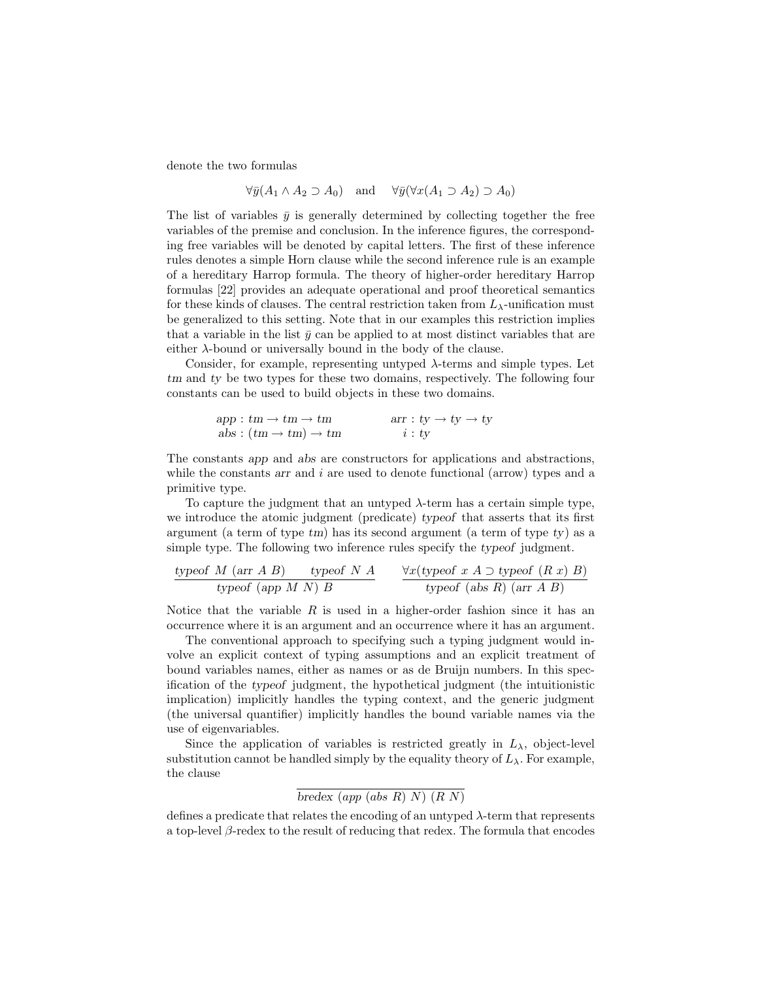denote the two formulas

$$
\forall \bar{y}(A_1 \land A_2 \supset A_0) \quad \text{and} \quad \forall \bar{y}(\forall x(A_1 \supset A_2) \supset A_0)
$$

The list of variables  $\bar{y}$  is generally determined by collecting together the free variables of the premise and conclusion. In the inference figures, the corresponding free variables will be denoted by capital letters. The first of these inference rules denotes a simple Horn clause while the second inference rule is an example of a hereditary Harrop formula. The theory of higher-order hereditary Harrop formulas [22] provides an adequate operational and proof theoretical semantics for these kinds of clauses. The central restriction taken from  $L_{\lambda}$ -unification must be generalized to this setting. Note that in our examples this restriction implies that a variable in the list  $\bar{y}$  can be applied to at most distinct variables that are either  $\lambda$ -bound or universally bound in the body of the clause.

Consider, for example, representing untyped  $\lambda$ -terms and simple types. Let tm and ty be two types for these two domains, respectively. The following four constants can be used to build objects in these two domains.

| $app:tm\rightarrow tm\rightarrow tm$      | $arr : ty \rightarrow ty \rightarrow ty$ |
|-------------------------------------------|------------------------------------------|
| abs: $(tm \rightarrow tm) \rightarrow tm$ | i : tv                                   |

The constants app and abs are constructors for applications and abstractions, while the constants arr and  $i$  are used to denote functional (arrow) types and a primitive type.

To capture the judgment that an untyped  $\lambda$ -term has a certain simple type, we introduce the atomic judgment (predicate) typeof that asserts that its first argument (a term of type  $tm$ ) has its second argument (a term of type  $ty$ ) as a simple type. The following two inference rules specify the typeof judgment.

| typeof | $M$                       | ( $\text{arr } A B$ )                           | typeof | $N A$ | $\forall x (typeof x A \supset typeof (R x) B)$ |
|--------|---------------------------|-------------------------------------------------|--------|-------|-------------------------------------------------|
| typeof | ( $\text{app } M N$ ) $B$ | $\forall x (typeof x A \supset typeof (R x) B)$ |        |       |                                                 |

Notice that the variable  $R$  is used in a higher-order fashion since it has an occurrence where it is an argument and an occurrence where it has an argument.

The conventional approach to specifying such a typing judgment would involve an explicit context of typing assumptions and an explicit treatment of bound variables names, either as names or as de Bruijn numbers. In this specification of the typeof judgment, the hypothetical judgment (the intuitionistic implication) implicitly handles the typing context, and the generic judgment (the universal quantifier) implicitly handles the bound variable names via the use of eigenvariables.

Since the application of variables is restricted greatly in  $L_{\lambda}$ , object-level substitution cannot be handled simply by the equality theory of  $L_{\lambda}$ . For example, the clause

# $b$ redex  $(app (abs R) N) (R N)$

defines a predicate that relates the encoding of an untyped  $\lambda$ -term that represents a top-level  $\beta$ -redex to the result of reducing that redex. The formula that encodes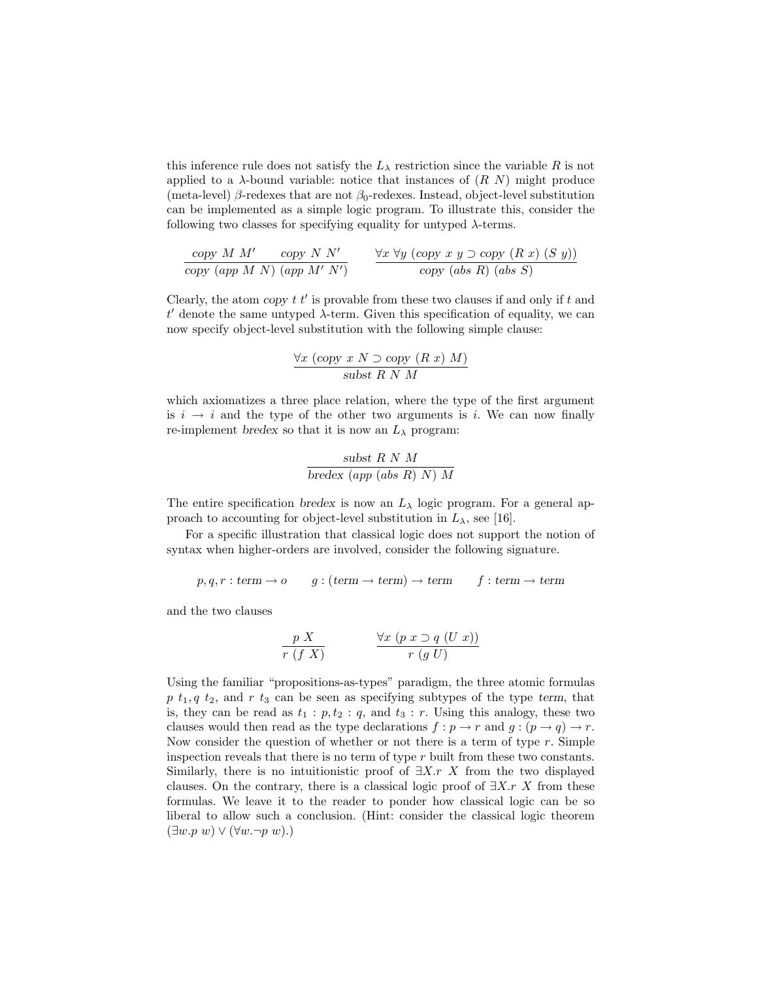this inference rule does not satisfy the  $L_{\lambda}$  restriction since the variable R is not applied to a  $\lambda$ -bound variable: notice that instances of  $(R N)$  might produce (meta-level)  $\beta$ -redexes that are not  $\beta_0$ -redexes. Instead, object-level substitution can be implemented as a simple logic program. To illustrate this, consider the following two classes for specifying equality for untyped  $\lambda$ -terms.

$$
\frac{\text{copy } M \text{ } M'}{\text{copy } (\text{app } M \text{ } N) (\text{app } M' \text{ } N')} \qquad \frac{\forall x \forall y \ (\text{copy } x \text{ } y \supset \text{copy } (R \text{ } x) \text{ } (S \text{ } y))}{\text{copy } (\text{abs } R) (\text{abs } S)}
$$

Clearly, the atom copy  $t t'$  is provable from these two clauses if and only if  $t$  and  $t'$  denote the same untyped  $\lambda$ -term. Given this specification of equality, we can now specify object-level substitution with the following simple clause:

$$
\frac{\forall x \ (copy \ x \ N \supset copy \ (R \ x) \ M)}{subst \ R \ N \ M}
$$

which axiomatizes a three place relation, where the type of the first argument is  $i \rightarrow i$  and the type of the other two arguments is i. We can now finally re-implement bredex so that it is now an  $L_{\lambda}$  program:

$$
\frac{\text{subst } R \text{ } N \text{ } M}{\text{bredex } (\text{app } (\text{abs } R) \text{ } N) \text{ } M}
$$

The entire specification bredex is now an  $L_{\lambda}$  logic program. For a general approach to accounting for object-level substitution in  $L_{\lambda}$ , see [16].

For a specific illustration that classical logic does not support the notion of syntax when higher-orders are involved, consider the following signature.

$$
p, q, r: \text{term} \rightarrow o
$$
  $g: (\text{term} \rightarrow \text{term}) \rightarrow \text{term}$   $f: \text{term} \rightarrow \text{term}$ 

and the two clauses

$$
\frac{p X}{r (f X)} \qquad \qquad \frac{\forall x (p x \supset q (U x))}{r (g U)}
$$

Using the familiar "propositions-as-types" paradigm, the three atomic formulas  $p t_1, q t_2$ , and r  $t_3$  can be seen as specifying subtypes of the type term, that is, they can be read as  $t_1 : p, t_2 : q$ , and  $t_3 : r$ . Using this analogy, these two clauses would then read as the type declarations  $f : p \to r$  and  $g : (p \to q) \to r$ . Now consider the question of whether or not there is a term of type  $r$ . Simple inspection reveals that there is no term of type  $r$  built from these two constants. Similarly, there is no intuitionistic proof of  $\exists X.r X$  from the two displayed clauses. On the contrary, there is a classical logic proof of  $\exists X.r X$  from these formulas. We leave it to the reader to ponder how classical logic can be so liberal to allow such a conclusion. (Hint: consider the classical logic theorem  $(\exists w.p \ w) \lor (\forall w.\neg p \ w).)$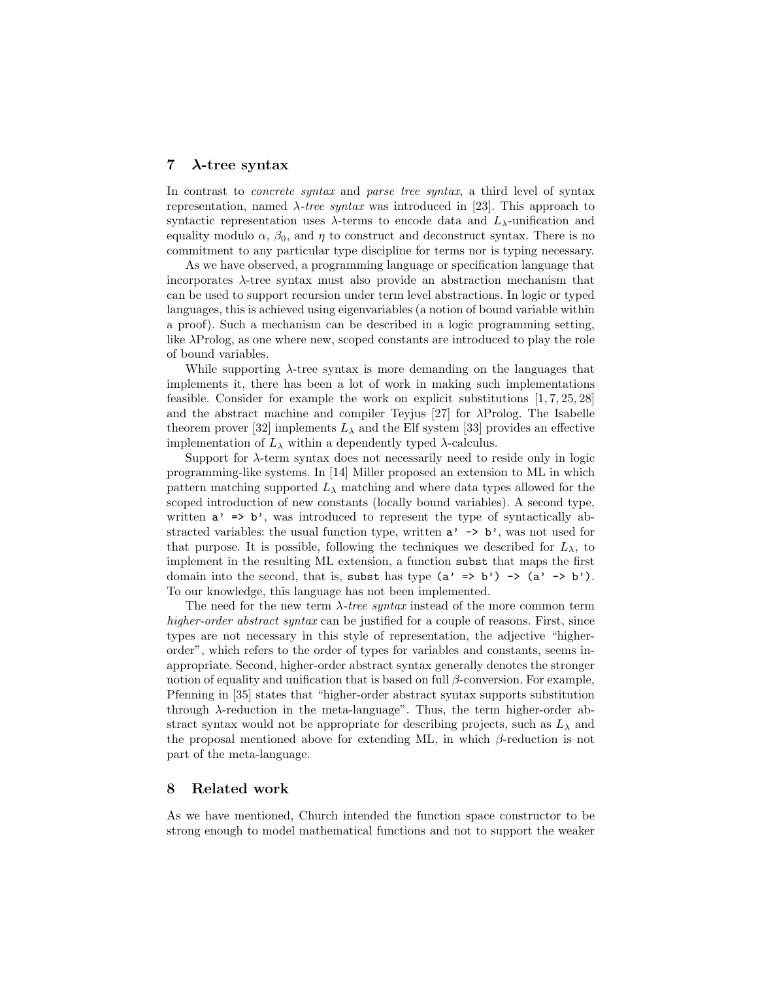#### 7 λ-tree syntax

In contrast to concrete syntax and parse tree syntax, a third level of syntax representation, named  $\lambda$ -tree syntax was introduced in [23]. This approach to syntactic representation uses  $\lambda$ -terms to encode data and  $L_{\lambda}$ -unification and equality modulo  $\alpha$ ,  $\beta_0$ , and  $\eta$  to construct and deconstruct syntax. There is no commitment to any particular type discipline for terms nor is typing necessary.

As we have observed, a programming language or specification language that incorporates λ-tree syntax must also provide an abstraction mechanism that can be used to support recursion under term level abstractions. In logic or typed languages, this is achieved using eigenvariables (a notion of bound variable within a proof). Such a mechanism can be described in a logic programming setting, like λProlog, as one where new, scoped constants are introduced to play the role of bound variables.

While supporting  $\lambda$ -tree syntax is more demanding on the languages that implements it, there has been a lot of work in making such implementations feasible. Consider for example the work on explicit substitutions [1, 7, 25, 28] and the abstract machine and compiler Teyjus  $[27]$  for  $\lambda$ Prolog. The Isabelle theorem prover [32] implements  $L_{\lambda}$  and the Elf system [33] provides an effective implementation of  $L_{\lambda}$  within a dependently typed  $\lambda$ -calculus.

Support for  $\lambda$ -term syntax does not necessarily need to reside only in logic programming-like systems. In [14] Miller proposed an extension to ML in which pattern matching supported  $L_{\lambda}$  matching and where data types allowed for the scoped introduction of new constants (locally bound variables). A second type, written  $a' \Rightarrow b'$ , was introduced to represent the type of syntactically abstracted variables: the usual function type, written  $a' \rightarrow b'$ , was not used for that purpose. It is possible, following the techniques we described for  $L_{\lambda}$ , to implement in the resulting ML extension, a function subst that maps the first domain into the second, that is, subst has type  $(a' \Rightarrow b') \Rightarrow (a' \Rightarrow b')$ . To our knowledge, this language has not been implemented.

The need for the new term  $\lambda$ -tree syntax instead of the more common term higher-order abstract syntax can be justified for a couple of reasons. First, since types are not necessary in this style of representation, the adjective "higherorder", which refers to the order of types for variables and constants, seems inappropriate. Second, higher-order abstract syntax generally denotes the stronger notion of equality and unification that is based on full  $β$ -conversion. For example, Pfenning in [35] states that "higher-order abstract syntax supports substitution through λ-reduction in the meta-language". Thus, the term higher-order abstract syntax would not be appropriate for describing projects, such as  $L_{\lambda}$  and the proposal mentioned above for extending ML, in which  $\beta$ -reduction is not part of the meta-language.

#### 8 Related work

As we have mentioned, Church intended the function space constructor to be strong enough to model mathematical functions and not to support the weaker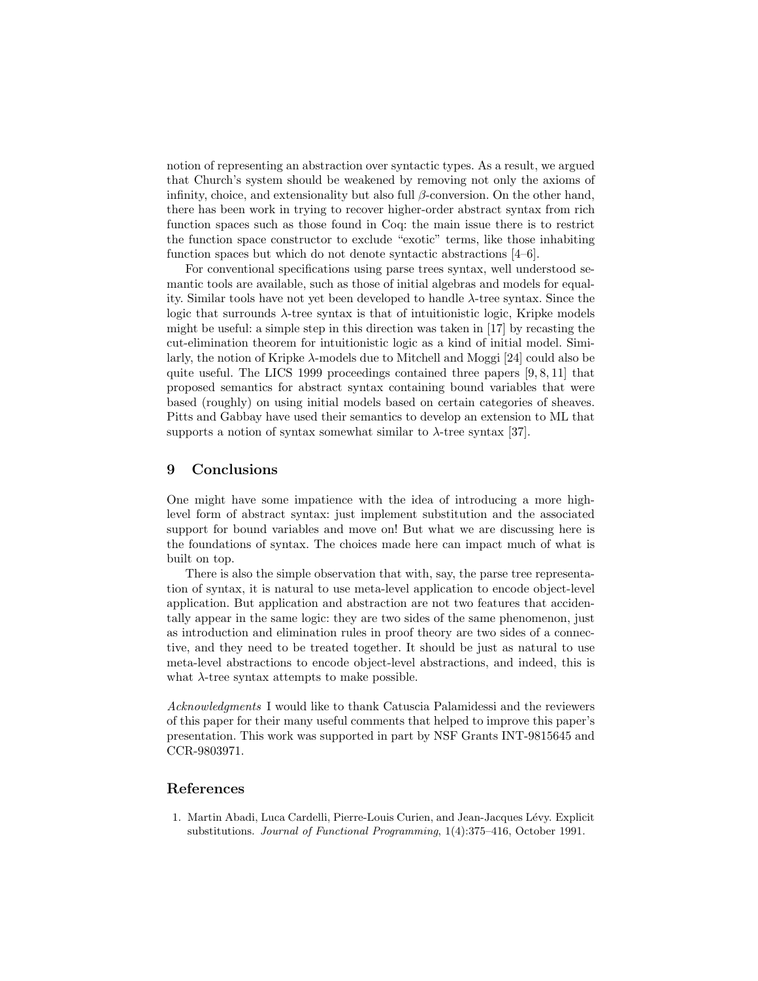notion of representing an abstraction over syntactic types. As a result, we argued that Church's system should be weakened by removing not only the axioms of infinity, choice, and extensionality but also full  $\beta$ -conversion. On the other hand, there has been work in trying to recover higher-order abstract syntax from rich function spaces such as those found in Coq: the main issue there is to restrict the function space constructor to exclude "exotic" terms, like those inhabiting function spaces but which do not denote syntactic abstractions [4–6].

For conventional specifications using parse trees syntax, well understood semantic tools are available, such as those of initial algebras and models for equality. Similar tools have not yet been developed to handle  $\lambda$ -tree syntax. Since the logic that surrounds  $\lambda$ -tree syntax is that of intuitionistic logic, Kripke models might be useful: a simple step in this direction was taken in [17] by recasting the cut-elimination theorem for intuitionistic logic as a kind of initial model. Similarly, the notion of Kripke λ-models due to Mitchell and Moggi [24] could also be quite useful. The LICS 1999 proceedings contained three papers  $[9, 8, 11]$  that proposed semantics for abstract syntax containing bound variables that were based (roughly) on using initial models based on certain categories of sheaves. Pitts and Gabbay have used their semantics to develop an extension to ML that supports a notion of syntax somewhat similar to  $\lambda$ -tree syntax [37].

#### 9 Conclusions

One might have some impatience with the idea of introducing a more highlevel form of abstract syntax: just implement substitution and the associated support for bound variables and move on! But what we are discussing here is the foundations of syntax. The choices made here can impact much of what is built on top.

There is also the simple observation that with, say, the parse tree representation of syntax, it is natural to use meta-level application to encode object-level application. But application and abstraction are not two features that accidentally appear in the same logic: they are two sides of the same phenomenon, just as introduction and elimination rules in proof theory are two sides of a connective, and they need to be treated together. It should be just as natural to use meta-level abstractions to encode object-level abstractions, and indeed, this is what  $\lambda$ -tree syntax attempts to make possible.

Acknowledgments I would like to thank Catuscia Palamidessi and the reviewers of this paper for their many useful comments that helped to improve this paper's presentation. This work was supported in part by NSF Grants INT-9815645 and CCR-9803971.

#### References

1. Martin Abadi, Luca Cardelli, Pierre-Louis Curien, and Jean-Jacques Lévy. Explicit substitutions. Journal of Functional Programming, 1(4):375–416, October 1991.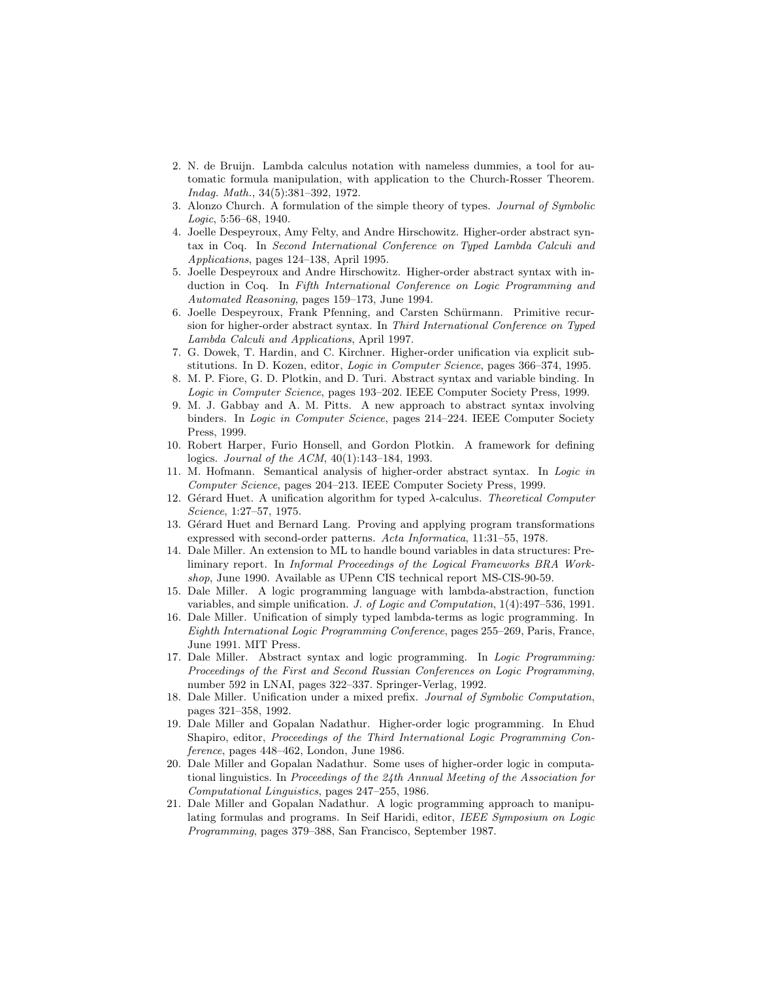- 2. N. de Bruijn. Lambda calculus notation with nameless dummies, a tool for automatic formula manipulation, with application to the Church-Rosser Theorem. Indag. Math., 34(5):381–392, 1972.
- 3. Alonzo Church. A formulation of the simple theory of types. Journal of Symbolic Logic, 5:56–68, 1940.
- 4. Joelle Despeyroux, Amy Felty, and Andre Hirschowitz. Higher-order abstract syntax in Coq. In Second International Conference on Typed Lambda Calculi and Applications, pages 124–138, April 1995.
- 5. Joelle Despeyroux and Andre Hirschowitz. Higher-order abstract syntax with induction in Coq. In Fifth International Conference on Logic Programming and Automated Reasoning, pages 159–173, June 1994.
- 6. Joelle Despeyroux, Frank Pfenning, and Carsten Schürmann. Primitive recursion for higher-order abstract syntax. In Third International Conference on Typed Lambda Calculi and Applications, April 1997.
- 7. G. Dowek, T. Hardin, and C. Kirchner. Higher-order unification via explicit substitutions. In D. Kozen, editor, Logic in Computer Science, pages 366–374, 1995.
- 8. M. P. Fiore, G. D. Plotkin, and D. Turi. Abstract syntax and variable binding. In Logic in Computer Science, pages 193–202. IEEE Computer Society Press, 1999.
- 9. M. J. Gabbay and A. M. Pitts. A new approach to abstract syntax involving binders. In *Logic in Computer Science*, pages 214–224. IEEE Computer Society Press, 1999.
- 10. Robert Harper, Furio Honsell, and Gordon Plotkin. A framework for defining logics. Journal of the ACM, 40(1):143–184, 1993.
- 11. M. Hofmann. Semantical analysis of higher-order abstract syntax. In Logic in Computer Science, pages 204–213. IEEE Computer Society Press, 1999.
- 12. Gérard Huet. A unification algorithm for typed  $\lambda$ -calculus. Theoretical Computer Science, 1:27–57, 1975.
- 13. Gérard Huet and Bernard Lang. Proving and applying program transformations expressed with second-order patterns. Acta Informatica, 11:31–55, 1978.
- 14. Dale Miller. An extension to ML to handle bound variables in data structures: Preliminary report. In Informal Proceedings of the Logical Frameworks BRA Workshop, June 1990. Available as UPenn CIS technical report MS-CIS-90-59.
- 15. Dale Miller. A logic programming language with lambda-abstraction, function variables, and simple unification. J. of Logic and Computation, 1(4):497–536, 1991.
- 16. Dale Miller. Unification of simply typed lambda-terms as logic programming. In Eighth International Logic Programming Conference, pages 255–269, Paris, France, June 1991. MIT Press.
- 17. Dale Miller. Abstract syntax and logic programming. In Logic Programming: Proceedings of the First and Second Russian Conferences on Logic Programming, number 592 in LNAI, pages 322–337. Springer-Verlag, 1992.
- 18. Dale Miller. Unification under a mixed prefix. Journal of Symbolic Computation, pages 321–358, 1992.
- 19. Dale Miller and Gopalan Nadathur. Higher-order logic programming. In Ehud Shapiro, editor, Proceedings of the Third International Logic Programming Conference, pages  $448-462$ , London, June 1986.
- 20. Dale Miller and Gopalan Nadathur. Some uses of higher-order logic in computational linguistics. In Proceedings of the 24th Annual Meeting of the Association for Computational Linguistics, pages 247–255, 1986.
- 21. Dale Miller and Gopalan Nadathur. A logic programming approach to manipulating formulas and programs. In Seif Haridi, editor, IEEE Symposium on Logic Programming, pages 379–388, San Francisco, September 1987.